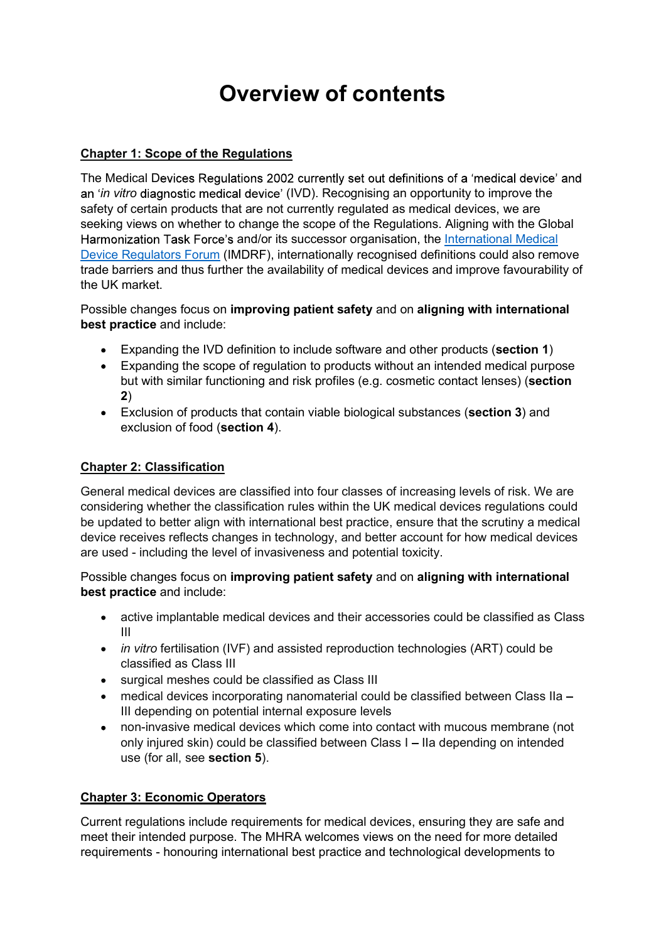# Overview of contents

## Chapter 1: Scope of the Regulations

The Medical Devices Regulations 2002 currently set out definitions of a 'medical device' and an '*in vitro* diagnostic medical device' (IVD). Recognising an opportunity to improve the safety of certain products that are not currently regulated as medical devices, we are seeking views on whether to change the scope of the Regulations. Aligning with the Global Harmonization Task Force's and/or its successor organisation, the International Medical Device Regulators Forum (IMDRF), internationally recognised definitions could also remove trade barriers and thus further the availability of medical devices and improve favourability of the UK market.

Possible changes focus on improving patient safety and on aligning with international best practice and include:

- Expanding the IVD definition to include software and other products (section 1)
- Expanding the scope of regulation to products without an intended medical purpose but with similar functioning and risk profiles (e.g. cosmetic contact lenses) (section 2)
- Exclusion of products that contain viable biological substances (section 3) and exclusion of food (section 4).

#### Chapter 2: Classification

General medical devices are classified into four classes of increasing levels of risk. We are considering whether the classification rules within the UK medical devices regulations could be updated to better align with international best practice, ensure that the scrutiny a medical device receives reflects changes in technology, and better account for how medical devices are used - including the level of invasiveness and potential toxicity.

#### Possible changes focus on improving patient safety and on aligning with international best practice and include:

- active implantable medical devices and their accessories could be classified as Class III
- *in vitro* fertilisation (IVF) and assisted reproduction technologies (ART) could be classified as Class III
- surgical meshes could be classified as Class III
- medical devices incorporating nanomaterial could be classified between Class IIa III depending on potential internal exposure levels
- non-invasive medical devices which come into contact with mucous membrane (not  $\bullet$ only injured skin) could be classified between Class I – IIa depending on intended use (for all, see section 5).

## Chapter 3: Economic Operators

Current regulations include requirements for medical devices, ensuring they are safe and meet their intended purpose. The MHRA welcomes views on the need for more detailed requirements - honouring international best practice and technological developments to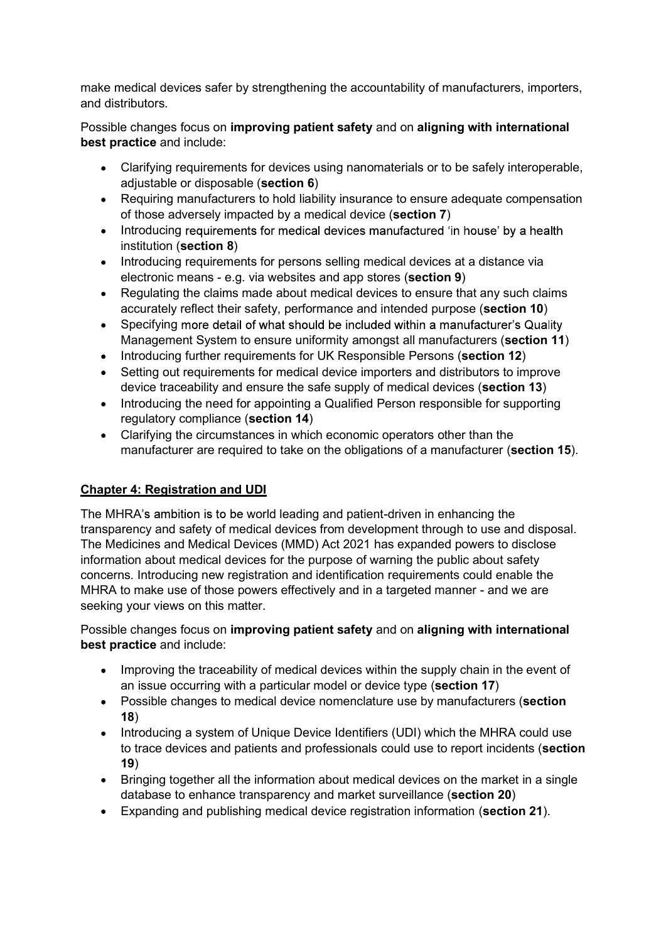make medical devices safer by strengthening the accountability of manufacturers, importers, and distributors.

Possible changes focus on improving patient safety and on aligning with international best practice and include:

- Clarifying requirements for devices using nanomaterials or to be safely interoperable, adjustable or disposable (section 6)
- Requiring manufacturers to hold liability insurance to ensure adequate compensation of those adversely impacted by a medical device (section 7)
- Introducing requirements for medical devices manufactured 'in house' by a health institution (section 8)
- Introducing requirements for persons selling medical devices at a distance via electronic means - e.g. via websites and app stores (section 9)
- Regulating the claims made about medical devices to ensure that any such claims accurately reflect their safety, performance and intended purpose (section 10)
- Specifying more detail of what should be included within a manufacturer's Quality Management System to ensure uniformity amongst all manufacturers (section 11)
- Introducing further requirements for UK Responsible Persons (section 12)
- Setting out requirements for medical device importers and distributors to improve device traceability and ensure the safe supply of medical devices (section 13)
- Introducing the need for appointing a Qualified Person responsible for supporting regulatory compliance (section 14)
- Clarifying the circumstances in which economic operators other than the manufacturer are required to take on the obligations of a manufacturer (section 15).

# Chapter 4: Registration and UDI

The MHRA's ambition is to be world leading and patient-driven in enhancing the transparency and safety of medical devices from development through to use and disposal. The Medicines and Medical Devices (MMD) Act 2021 has expanded powers to disclose information about medical devices for the purpose of warning the public about safety concerns. Introducing new registration and identification requirements could enable the MHRA to make use of those powers effectively and in a targeted manner - and we are seeking your views on this matter.

Possible changes focus on improving patient safety and on aligning with international best practice and include:

- Improving the traceability of medical devices within the supply chain in the event of an issue occurring with a particular model or device type (section 17)
- Possible changes to medical device nomenclature use by manufacturers (section 18)
- Introducing a system of Unique Device Identifiers (UDI) which the MHRA could use to trace devices and patients and professionals could use to report incidents (section 19)
- Bringing together all the information about medical devices on the market in a single database to enhance transparency and market surveillance (section 20)
- Expanding and publishing medical device registration information (section 21).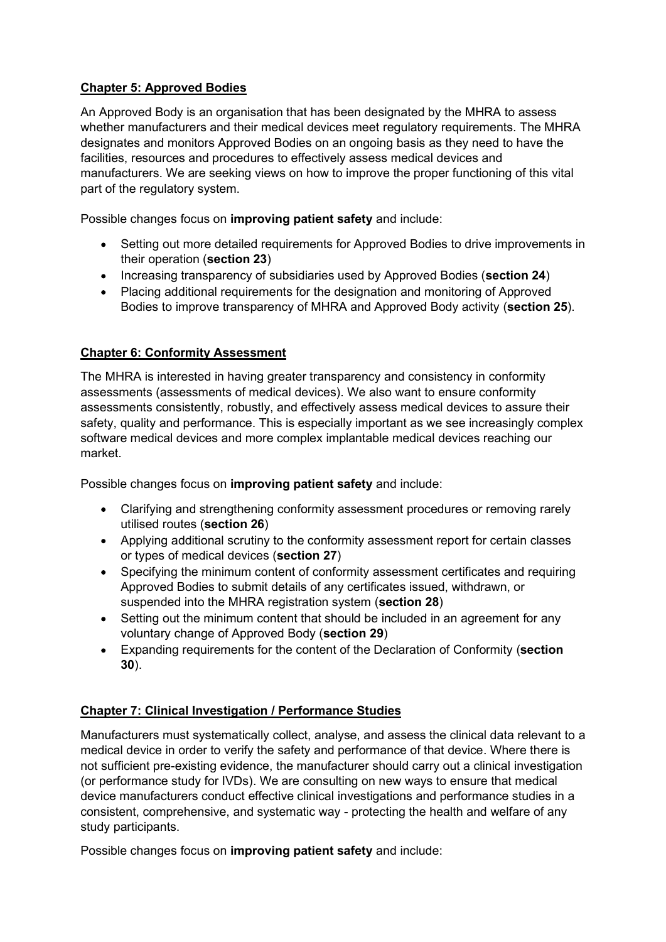## Chapter 5: Approved Bodies

An Approved Body is an organisation that has been designated by the MHRA to assess whether manufacturers and their medical devices meet regulatory requirements. The MHRA designates and monitors Approved Bodies on an ongoing basis as they need to have the facilities, resources and procedures to effectively assess medical devices and manufacturers. We are seeking views on how to improve the proper functioning of this vital part of the regulatory system.

Possible changes focus on **improving patient safety** and include:

- Setting out more detailed requirements for Approved Bodies to drive improvements in their operation (section 23)
- Increasing transparency of subsidiaries used by Approved Bodies (section 24)
- Placing additional requirements for the designation and monitoring of Approved Bodies to improve transparency of MHRA and Approved Body activity (section 25).

## Chapter 6: Conformity Assessment

The MHRA is interested in having greater transparency and consistency in conformity assessments (assessments of medical devices). We also want to ensure conformity assessments consistently, robustly, and effectively assess medical devices to assure their safety, quality and performance. This is especially important as we see increasingly complex software medical devices and more complex implantable medical devices reaching our market.

Possible changes focus on improving patient safety and include:

- Clarifying and strengthening conformity assessment procedures or removing rarely utilised routes (section 26)
- Applying additional scrutiny to the conformity assessment report for certain classes or types of medical devices (section 27)
- Specifying the minimum content of conformity assessment certificates and requiring Approved Bodies to submit details of any certificates issued, withdrawn, or suspended into the MHRA registration system (section 28)
- Setting out the minimum content that should be included in an agreement for any voluntary change of Approved Body (section 29)
- Expanding requirements for the content of the Declaration of Conformity (section 30).

# Chapter 7: Clinical Investigation / Performance Studies

Manufacturers must systematically collect, analyse, and assess the clinical data relevant to a medical device in order to verify the safety and performance of that device. Where there is not sufficient pre-existing evidence, the manufacturer should carry out a clinical investigation (or performance study for IVDs). We are consulting on new ways to ensure that medical device manufacturers conduct effective clinical investigations and performance studies in a consistent, comprehensive, and systematic way - protecting the health and welfare of any study participants.

Possible changes focus on **improving patient safety** and include: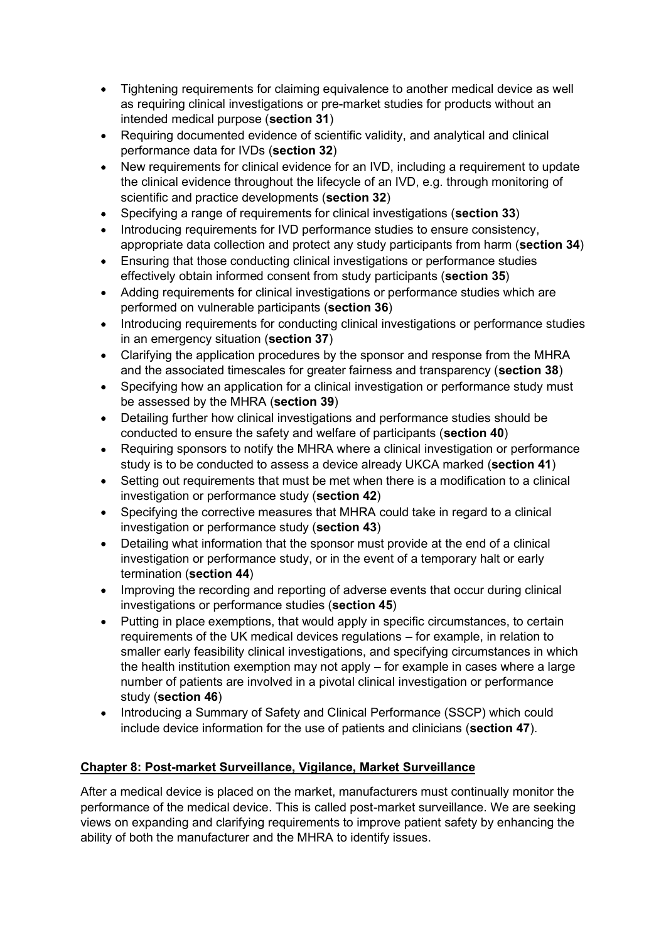- Tightening requirements for claiming equivalence to another medical device as well as requiring clinical investigations or pre-market studies for products without an intended medical purpose (section 31)
- Requiring documented evidence of scientific validity, and analytical and clinical performance data for IVDs (section 32)
- New requirements for clinical evidence for an IVD, including a requirement to update the clinical evidence throughout the lifecycle of an IVD, e.g. through monitoring of scientific and practice developments (section 32)
- Specifying a range of requirements for clinical investigations (section 33)
- Introducing requirements for IVD performance studies to ensure consistency, appropriate data collection and protect any study participants from harm (section 34)
- Ensuring that those conducting clinical investigations or performance studies effectively obtain informed consent from study participants (section 35)
- Adding requirements for clinical investigations or performance studies which are performed on vulnerable participants (section 36)
- Introducing requirements for conducting clinical investigations or performance studies in an emergency situation (section 37)
- Clarifying the application procedures by the sponsor and response from the MHRA and the associated timescales for greater fairness and transparency (section 38)
- Specifying how an application for a clinical investigation or performance study must be assessed by the MHRA (section 39)
- Detailing further how clinical investigations and performance studies should be conducted to ensure the safety and welfare of participants (section 40)
- Requiring sponsors to notify the MHRA where a clinical investigation or performance study is to be conducted to assess a device already UKCA marked (section 41)
- Setting out requirements that must be met when there is a modification to a clinical investigation or performance study (section 42)
- Specifying the corrective measures that MHRA could take in regard to a clinical investigation or performance study (section 43)
- Detailing what information that the sponsor must provide at the end of a clinical investigation or performance study, or in the event of a temporary halt or early termination (section 44)
- Improving the recording and reporting of adverse events that occur during clinical investigations or performance studies (section 45)
- Putting in place exemptions, that would apply in specific circumstances, to certain requirements of the UK medical devices regulations – for example, in relation to smaller early feasibility clinical investigations, and specifying circumstances in which the health institution exemption may not apply  $-$  for example in cases where a large number of patients are involved in a pivotal clinical investigation or performance study (section 46)
- Introducing a Summary of Safety and Clinical Performance (SSCP) which could include device information for the use of patients and clinicians (section 47).

## Chapter 8: Post-market Surveillance, Vigilance, Market Surveillance

After a medical device is placed on the market, manufacturers must continually monitor the performance of the medical device. This is called post-market surveillance. We are seeking views on expanding and clarifying requirements to improve patient safety by enhancing the ability of both the manufacturer and the MHRA to identify issues.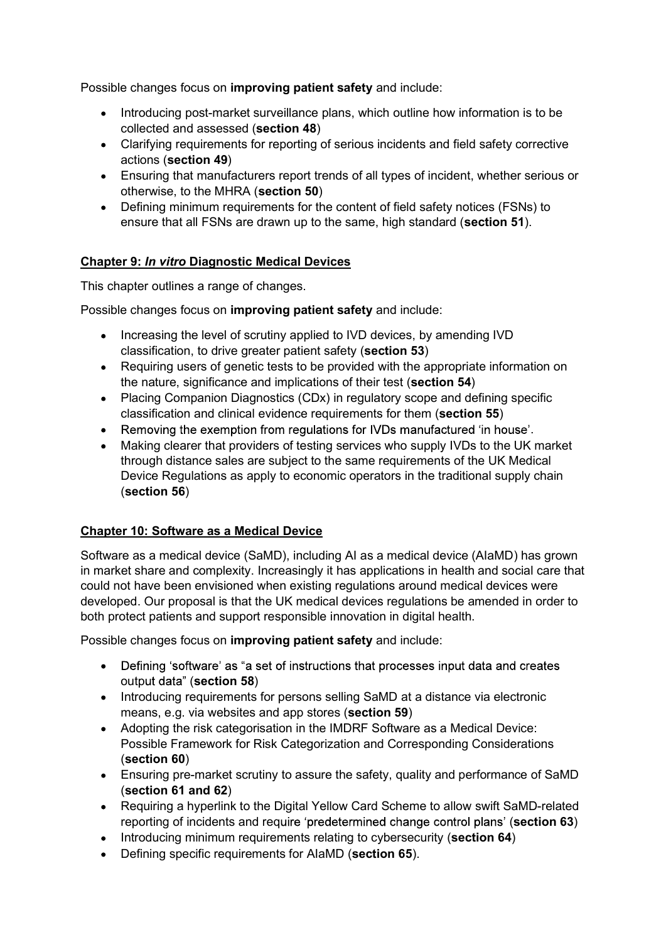Possible changes focus on improving patient safety and include:

- Introducing post-market surveillance plans, which outline how information is to be collected and assessed (section 48)
- Clarifying requirements for reporting of serious incidents and field safety corrective actions (section 49)
- Ensuring that manufacturers report trends of all types of incident, whether serious or otherwise, to the MHRA (section 50)
- Defining minimum requirements for the content of field safety notices (FSNs) to ensure that all FSNs are drawn up to the same, high standard (section 51).

## Chapter 9: In vitro Diagnostic Medical Devices

This chapter outlines a range of changes.

Possible changes focus on **improving patient safety** and include:

- Increasing the level of scrutiny applied to IVD devices, by amending IVD classification, to drive greater patient safety (section 53)
- Requiring users of genetic tests to be provided with the appropriate information on the nature, significance and implications of their test (section 54)
- Placing Companion Diagnostics (CDx) in regulatory scope and defining specific classification and clinical evidence requirements for them (section 55)
- .
- Making clearer that providers of testing services who supply IVDs to the UK market through distance sales are subject to the same requirements of the UK Medical Device Regulations as apply to economic operators in the traditional supply chain (section 56)

#### Chapter 10: Software as a Medical Device

Software as a medical device (SaMD), including AI as a medical device (AIaMD) has grown in market share and complexity. Increasingly it has applications in health and social care that could not have been envisioned when existing regulations around medical devices were developed. Our proposal is that the UK medical devices regulations be amended in order to both protect patients and support responsible innovation in digital health.

Possible changes focus on improving patient safety and include:

- Defining 'software' as "a set of instructions that processes input data and creates output data" (section 58)
- Introducing requirements for persons selling SaMD at a distance via electronic means, e.g. via websites and app stores (section 59)
- Adopting the risk categorisation in the IMDRF Software as a Medical Device: Possible Framework for Risk Categorization and Corresponding Considerations (section 60)
- Ensuring pre-market scrutiny to assure the safety, quality and performance of SaMD (section 61 and 62)
- Requiring a hyperlink to the Digital Yellow Card Scheme to allow swift SaMD-related reporting of incidents and require 'predetermined change control plans' (section 63)
- Introducing minimum requirements relating to cybersecurity (section 64)
- Defining specific requirements for AIaMD (section 65).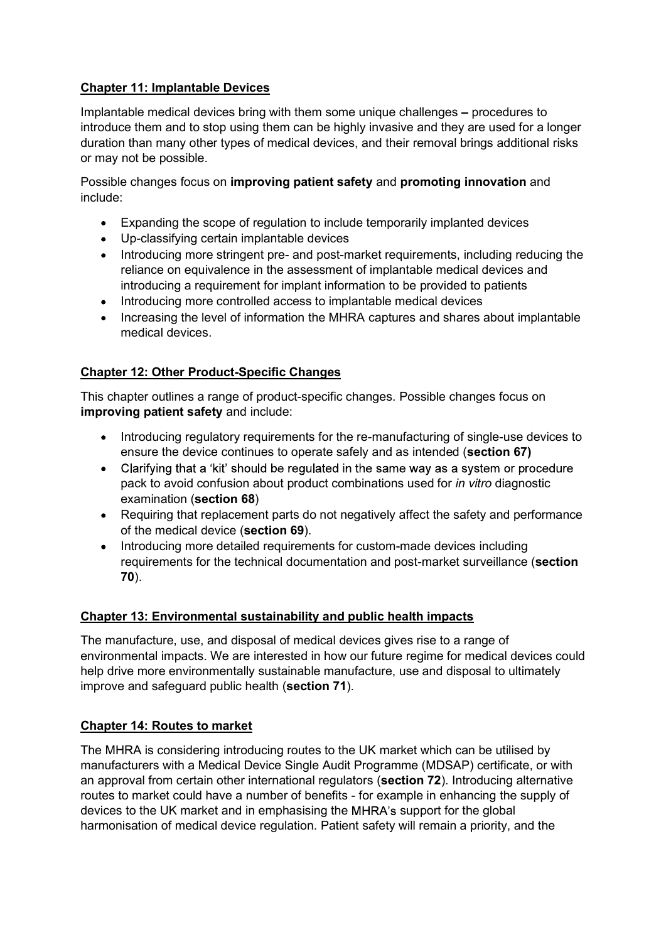## Chapter 11: Implantable Devices

Implantable medical devices bring with them some unique challenges – procedures to introduce them and to stop using them can be highly invasive and they are used for a longer duration than many other types of medical devices, and their removal brings additional risks or may not be possible.

Possible changes focus on improving patient safety and promoting innovation and include:

- Expanding the scope of regulation to include temporarily implanted devices
- Up-classifying certain implantable devices
- Introducing more stringent pre- and post-market requirements, including reducing the reliance on equivalence in the assessment of implantable medical devices and introducing a requirement for implant information to be provided to patients
- Introducing more controlled access to implantable medical devices
- Increasing the level of information the MHRA captures and shares about implantable medical devices.

## Chapter 12: Other Product-Specific Changes

This chapter outlines a range of product-specific changes. Possible changes focus on improving patient safety and include:

- Introducing regulatory reguirements for the re-manufacturing of single-use devices to ensure the device continues to operate safely and as intended (section 67)
- Clarifying that a 'kit' should be regulated in the same way as a system or procedure pack to avoid confusion about product combinations used for in vitro diagnostic examination (section 68)
- Requiring that replacement parts do not negatively affect the safety and performance of the medical device (section 69).
- Introducing more detailed requirements for custom-made devices including requirements for the technical documentation and post-market surveillance (section 70).

## Chapter 13: Environmental sustainability and public health impacts

The manufacture, use, and disposal of medical devices gives rise to a range of environmental impacts. We are interested in how our future regime for medical devices could help drive more environmentally sustainable manufacture, use and disposal to ultimately improve and safeguard public health (section 71).

## Chapter 14: Routes to market

The MHRA is considering introducing routes to the UK market which can be utilised by manufacturers with a Medical Device Single Audit Programme (MDSAP) certificate, or with an approval from certain other international regulators (section 72). Introducing alternative routes to market could have a number of benefits - for example in enhancing the supply of devices to the UK market and in emphasising the MHRA's support for the global harmonisation of medical device regulation. Patient safety will remain a priority, and the